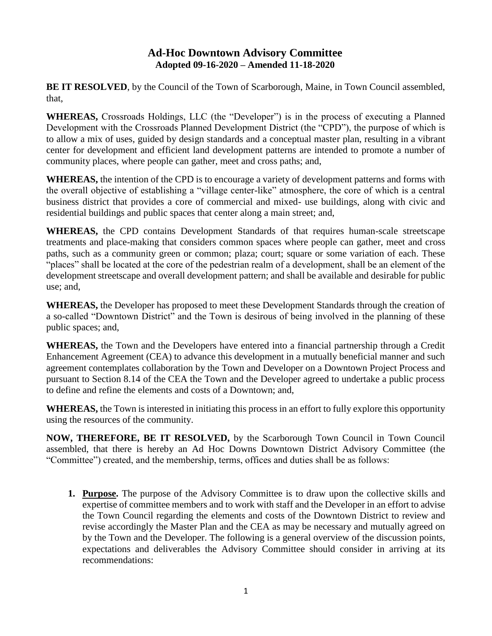## **Ad-Hoc Downtown Advisory Committee Adopted 09-16-2020 – Amended 11-18-2020**

**BE IT RESOLVED**, by the Council of the Town of Scarborough, Maine, in Town Council assembled, that,

**WHEREAS,** Crossroads Holdings, LLC (the "Developer") is in the process of executing a Planned Development with the Crossroads Planned Development District (the "CPD"), the purpose of which is to allow a mix of uses, guided by design standards and a conceptual master plan, resulting in a vibrant center for development and efficient land development patterns are intended to promote a number of community places, where people can gather, meet and cross paths; and,

**WHEREAS,** the intention of the CPD is to encourage a variety of development patterns and forms with the overall objective of establishing a "village center-like" atmosphere, the core of which is a central business district that provides a core of commercial and mixed- use buildings, along with civic and residential buildings and public spaces that center along a main street; and,

**WHEREAS,** the CPD contains Development Standards of that requires human-scale streetscape treatments and place-making that considers common spaces where people can gather, meet and cross paths, such as a community green or common; plaza; court; square or some variation of each. These "places" shall be located at the core of the pedestrian realm of a development, shall be an element of the development streetscape and overall development pattern; and shall be available and desirable for public use; and,

**WHEREAS,** the Developer has proposed to meet these Development Standards through the creation of a so-called "Downtown District" and the Town is desirous of being involved in the planning of these public spaces; and,

**WHEREAS,** the Town and the Developers have entered into a financial partnership through a Credit Enhancement Agreement (CEA) to advance this development in a mutually beneficial manner and such agreement contemplates collaboration by the Town and Developer on a Downtown Project Process and pursuant to Section 8.14 of the CEA the Town and the Developer agreed to undertake a public process to define and refine the elements and costs of a Downtown; and,

**WHEREAS,** the Town is interested in initiating this process in an effort to fully explore this opportunity using the resources of the community.

**NOW, THEREFORE, BE IT RESOLVED,** by the Scarborough Town Council in Town Council assembled, that there is hereby an Ad Hoc Downs Downtown District Advisory Committee (the "Committee") created, and the membership, terms, offices and duties shall be as follows:

**1. Purpose.** The purpose of the Advisory Committee is to draw upon the collective skills and expertise of committee members and to work with staff and the Developer in an effort to advise the Town Council regarding the elements and costs of the Downtown District to review and revise accordingly the Master Plan and the CEA as may be necessary and mutually agreed on by the Town and the Developer. The following is a general overview of the discussion points, expectations and deliverables the Advisory Committee should consider in arriving at its recommendations: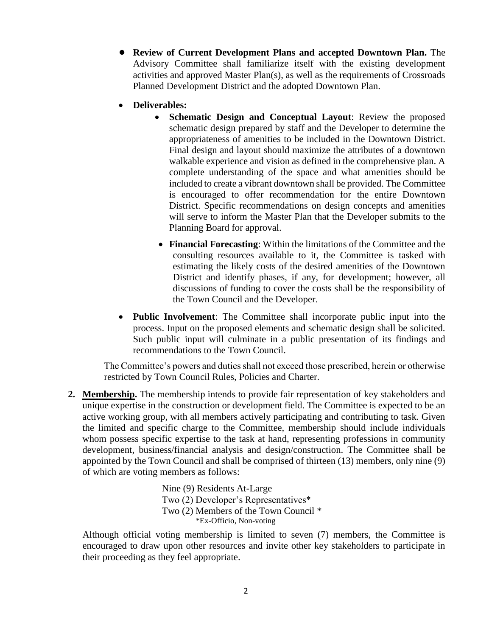- **• Review of Current Development Plans and accepted Downtown Plan.** The Advisory Committee shall familiarize itself with the existing development activities and approved Master Plan(s), as well as the requirements of Crossroads Planned Development District and the adopted Downtown Plan.
- **Deliverables:**
	- **Schematic Design and Conceptual Layout**: Review the proposed schematic design prepared by staff and the Developer to determine the appropriateness of amenities to be included in the Downtown District. Final design and layout should maximize the attributes of a downtown walkable experience and vision as defined in the comprehensive plan. A complete understanding of the space and what amenities should be included to create a vibrant downtown shall be provided. The Committee is encouraged to offer recommendation for the entire Downtown District. Specific recommendations on design concepts and amenities will serve to inform the Master Plan that the Developer submits to the Planning Board for approval.
	- **Financial Forecasting**: Within the limitations of the Committee and the consulting resources available to it, the Committee is tasked with estimating the likely costs of the desired amenities of the Downtown District and identify phases, if any, for development; however, all discussions of funding to cover the costs shall be the responsibility of the Town Council and the Developer.
- **Public Involvement**: The Committee shall incorporate public input into the process. Input on the proposed elements and schematic design shall be solicited. Such public input will culminate in a public presentation of its findings and recommendations to the Town Council.

The Committee's powers and duties shall not exceed those prescribed, herein or otherwise restricted by Town Council Rules, Policies and Charter.

**2. Membership.** The membership intends to provide fair representation of key stakeholders and unique expertise in the construction or development field. The Committee is expected to be an active working group, with all members actively participating and contributing to task. Given the limited and specific charge to the Committee, membership should include individuals whom possess specific expertise to the task at hand, representing professions in community development, business/financial analysis and design/construction. The Committee shall be appointed by the Town Council and shall be comprised of thirteen (13) members, only nine (9) of which are voting members as follows:

> Nine (9) Residents At-Large Two (2) Developer's Representatives\* Two (2) Members of the Town Council \* \*Ex-Officio, Non-voting

Although official voting membership is limited to seven (7) members, the Committee is encouraged to draw upon other resources and invite other key stakeholders to participate in their proceeding as they feel appropriate.